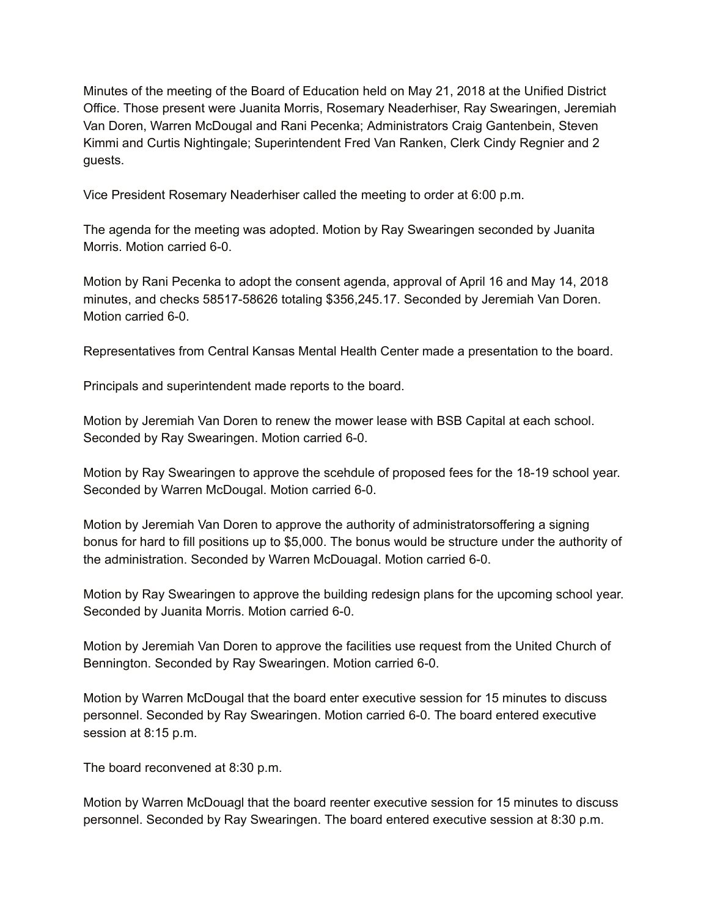Minutes of the meeting of the Board of Education held on May 21, 2018 at the Unified District Office. Those present were Juanita Morris, Rosemary Neaderhiser, Ray Swearingen, Jeremiah Van Doren, Warren McDougal and Rani Pecenka; Administrators Craig Gantenbein, Steven Kimmi and Curtis Nightingale; Superintendent Fred Van Ranken, Clerk Cindy Regnier and 2 guests.

Vice President Rosemary Neaderhiser called the meeting to order at 6:00 p.m.

The agenda for the meeting was adopted. Motion by Ray Swearingen seconded by Juanita Morris. Motion carried 6-0.

Motion by Rani Pecenka to adopt the consent agenda, approval of April 16 and May 14, 2018 minutes, and checks 58517-58626 totaling \$356,245.17. Seconded by Jeremiah Van Doren. Motion carried 6-0.

Representatives from Central Kansas Mental Health Center made a presentation to the board.

Principals and superintendent made reports to the board.

Motion by Jeremiah Van Doren to renew the mower lease with BSB Capital at each school. Seconded by Ray Swearingen. Motion carried 6-0.

Motion by Ray Swearingen to approve the scehdule of proposed fees for the 18-19 school year. Seconded by Warren McDougal. Motion carried 6-0.

Motion by Jeremiah Van Doren to approve the authority of administratorsoffering a signing bonus for hard to fill positions up to \$5,000. The bonus would be structure under the authority of the administration. Seconded by Warren McDouagal. Motion carried 6-0.

Motion by Ray Swearingen to approve the building redesign plans for the upcoming school year. Seconded by Juanita Morris. Motion carried 6-0.

Motion by Jeremiah Van Doren to approve the facilities use request from the United Church of Bennington. Seconded by Ray Swearingen. Motion carried 6-0.

Motion by Warren McDougal that the board enter executive session for 15 minutes to discuss personnel. Seconded by Ray Swearingen. Motion carried 6-0. The board entered executive session at 8:15 p.m.

The board reconvened at 8:30 p.m.

Motion by Warren McDouagl that the board reenter executive session for 15 minutes to discuss personnel. Seconded by Ray Swearingen. The board entered executive session at 8:30 p.m.